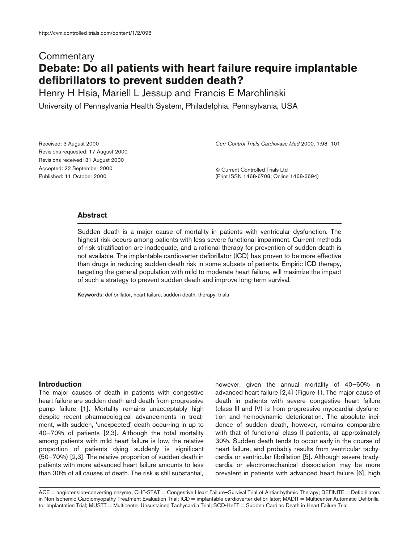# **Commentary Debate: Do all patients with heart failure require implantable defibrillators to prevent sudden death?**

Henry H Hsia, Mariell L Jessup and Francis E Marchlinski University of Pennsylvania Health System, Philadelphia, Pennsylvania, USA

Received: 3 August 2000 Revisions requested: 17 August 2000 Revisions received: 31 August 2000 Accepted: 22 September 2000 Published: 11 October 2000

*Curr Control Trials Cardiovasc Med* 2000, **1**:98–101

© Current Controlled Trials Ltd (Print ISSN 1468-6708; Online 1468-6694)

# **Abstract**

Sudden death is a major cause of mortality in patients with ventricular dysfunction. The highest risk occurs among patients with less severe functional impairment. Current methods of risk stratification are inadequate, and a rational therapy for prevention of sudden death is not available. The implantable cardioverter-defibrillator (ICD) has proven to be more effective than drugs in reducing sudden-death risk in some subsets of patients. Empiric ICD therapy, targeting the general population with mild to moderate heart failure, will maximize the impact of such a strategy to prevent sudden death and improve long-term survival.

**Keywords:** defibrillator, heart failure, sudden death, therapy, trials

## **Introduction**

The major causes of death in patients with congestive heart failure are sudden death and death from progressive pump failure [1]. Mortality remains unacceptably high despite recent pharmacological advancements in treatment, with sudden, 'unexpected' death occurring in up to 40–70% of patients [2,3]. Although the total mortality among patients with mild heart failure is low, the relative proportion of patients dying suddenly is significant (50–70%) [2,3]. The relative proportion of sudden death in patients with more advanced heart failure amounts to less than 30% of all causes of death. The risk is still substantial,

however, given the annual mortality of 40–60% in advanced heart failure [2,4] (Figure 1). The major cause of death in patients with severe congestive heart failure (class III and IV) is from progressive myocardial dysfunction and hemodynamic deterioration. The absolute incidence of sudden death, however, remains comparable with that of functional class II patients, at approximately 30%. Sudden death tends to occur early in the course of heart failure, and probably results from ventricular tachycardia or ventricular fibrillation [5]. Although severe bradycardia or electromechanical dissociation may be more prevalent in patients with advanced heart failure [6], high

ACE = angiotension-converting enzyme; CHF-STAT = Congestive Heart Failure–Survival Trial of Antiarrhythmic Therapy; DEFINITE = Defibrillators in Non-Ischemic Cardiomyopathy Treatment Evaluation Trial; ICD = implantable cardioverter-defibrillator; MADIT = Multicenter Automatic Defibrillator Implantation Trial; MUSTT = Multicenter Unsustained Tachycardia Trial; SCD-HeFT = Sudden Cardiac Death in Heart Failure Trial.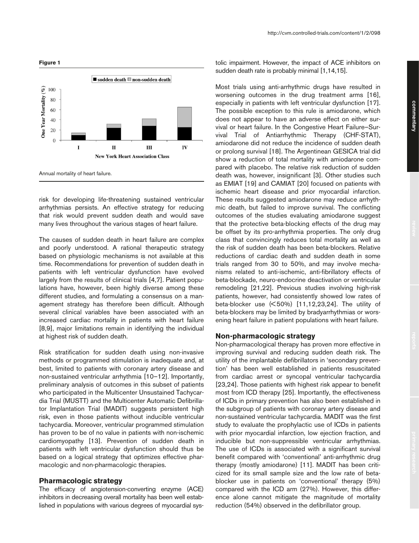

risk for developing life-threatening sustained ventricular arrhythmias persists. An effective strategy for reducing that risk would prevent sudden death and would save many lives throughout the various stages of heart failure.

The causes of sudden death in heart failure are complex and poorly understood. A rational therapeutic strategy based on physiologic mechanisms is not available at this time. Recommendations for prevention of sudden death in patients with left ventricular dysfunction have evolved largely from the results of clinical trials [4,7]. Patient populations have, however, been highly diverse among these different studies, and formulating a consensus on a management strategy has therefore been difficult. Although several clinical variables have been associated with an increased cardiac mortality in patients with heart failure [8,9], major limitations remain in identifying the individual at highest risk of sudden death.

Risk stratification for sudden death using non-invasive methods or programmed stimulation is inadequate and, at best, limited to patients with coronary artery disease and non-sustained ventricular arrhythmia [10–12]. Importantly, preliminary analysis of outcomes in this subset of patients who participated in the Multicenter Unsustained Tachycardia Trial (MUSTT) and the Multicenter Automatic Defibrillator Implantation Trial (MADIT) suggests persistent high risk, even in those patients without inducible ventricular tachycardia. Moreover, ventricular programmed stimulation has proven to be of no value in patients with non-ischemic cardiomyopathy [13]. Prevention of sudden death in patients with left ventricular dysfunction should thus be based on a logical strategy that optimizes effective pharmacologic and non-pharmacologic therapies.

# **Pharmacologic strategy**

The efficacy of angiotension-converting enzyme (ACE) inhibitors in decreasing overall mortality has been well established in populations with various degrees of myocardial systolic impairment. However, the impact of ACE inhibitors on sudden death rate is probably minimal [1,14,15].

Most trials using anti-arrhythmic drugs have resulted in worsening outcomes in the drug treatment arms [16], especially in patients with left ventricular dysfunction [17]. The possible exception to this rule is amiodarone, which does not appear to have an adverse effect on either survival or heart failure. In the Congestive Heart Failure–Survival Trial of Antiarrhythmic Therapy (CHF-STAT), amiodarone did not reduce the incidence of sudden death or prolong survival [18]. The Argentinean GESICA trial did show a reduction of total mortality with amiodarone compared with placebo. The relative risk reduction of sudden death was, however, insignificant [3]. Other studies such as EMIAT [19] and CAMIAT [20] focused on patients with ischemic heart disease and prior myocardial infarction. These results suggested amiodarone may reduce arrhythmic death, but failed to improve survival. The conflicting outcomes of the studies evaluating amiodarone suggest that the protective beta-blocking effects of the drug may be offset by its pro-arrhythmia properties. The only drug class that convincingly reduces total mortality as well as the risk of sudden death has been beta-blockers. Relative reductions of cardiac death and sudden death in some trials ranged from 30 to 50%, and may involve mechanisms related to anti-ischemic, anti-fibrillatory effects of beta-blockade, neuro-endocrine deactivation or ventricular remodeling [21,22]. Previous studies involving high-risk patients, however, had consistently showed low rates of beta-blocker use (< 50%) [11,12,23,24]. The utility of beta-blockers may be limited by bradyarrhythmias or worsening heart failure in patient populations with heart failure.

#### **Non-pharmacologic strategy**

Non-pharmacological therapy has proven more effective in improving survival and reducing sudden death risk. The utility of the implantable defibrillators in 'secondary prevention' has been well established in patients resuscitated from cardiac arrest or syncopal ventricular tachycardia [23,24]. Those patients with highest risk appear to benefit most from ICD therapy [25]. Importantly, the effectiveness of ICDs in primary prevention has also been established in the subgroup of patients with coronary artery disease and non-sustained ventricular tachycardia. MADIT was the first study to evaluate the prophylactic use of ICDs in patients with prior myocardial infarction, low ejection fraction, and inducible but non-suppressible ventricular arrhythmias. The use of ICDs is associated with a significant survival benefit compared with 'conventional' anti-arrhythmic drug therapy (mostly amiodarone) [11]. MADIT has been criticized for its small sample size and the low rate of betablocker use in patients on 'conventional' therapy (5%) compared with the ICD arm (27%). However, this difference alone cannot mitigate the magnitude of mortality reduction (54%) observed in the defibrillator group.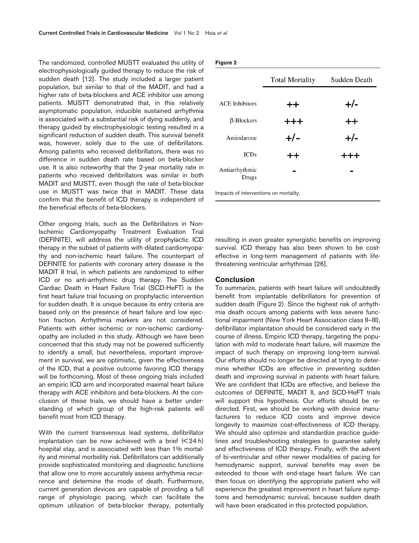The randomized, controlled MUSTT evaluated the utility of electrophysiologically guided therapy to reduce the risk of sudden death [12]. The study included a larger patient population, but similar to that of the MADIT, and had a higher rate of beta-blockers and ACE inhibitor use among patients. MUSTT demonstrated that, in this relatively asymptomatic population, inducible sustained arrhythmia is associated with a substantial risk of dying suddenly, and therapy guided by electrophysiologic testing resulted in a significant reduction of sudden death. This survival benefit was, however, solely due to the use of defibrillators. Among patients who received defibrillators, there was no difference in sudden death rate based on beta-blocker use. It is also noteworthy that the 2-year mortality rate in patients who received defibrillators was similar in both MADIT and MUSTT, even though the rate of beta-blocker use in MUSTT was twice that in MADIT. These data confirm that the benefit of ICD therapy is independent of the beneficial effects of beta-blockers.

Other ongoing trials, such as the Defibrillators in Non-Ischemic Cardiomyopathy Treatment Evaluation Trial (DEFINITE), will address the utility of prophylactic ICD therapy in the subset of patients with dilated cardiomyopathy and non-ischemic heart failure. The counterpart of DEFINITE for patients with coronary artery disease is the MADIT II trial, in which patients are randomized to either ICD or no anti-arrhythmic drug therapy. The Sudden Cardiac Death in Heart Failure Trial (SCD-HeFT) is the first heart failure trial focusing on prophylactic intervention for sudden death. It is unique because its entry criteria are based only on the presence of heart failure and low ejection fraction. Arrhythmia markers are not considered. Patients with either ischemic or non-ischemic cardiomyopathy are included in this study. Although we have been concerned that this study may not be powered sufficiently to identify a small, but nevertheless, important improvement in survival, we are optimistic, given the effectiveness of the ICD, that a positive outcome favoring ICD therapy will be forthcoming. Most of these ongoing trials included an empiric ICD arm and incorporated maximal heart failure therapy with ACE inhibitors and beta-blockers. At the conclusion of these trials, we should have a better understanding of which group of the high-risk patients will benefit most from ICD therapy.

With the current transvenous lead systems, defibrillator implantation can be now achieved with a brief  $(24 h)$ hospital stay, and is associated with less than 1% mortality and minimal morbidity risk. Defibrillators can additionally provide sophisticated monitoring and diagnostic functions that allow one to more accurately assess arrhythmia recurrence and determine the mode of death. Furthermore, current generation devices are capable of providing a full range of physiologic pacing, which can facilitate the optimum utilization of beta-blocker therapy, potentially

|--|--|

|                                        | <b>Total Mortality</b> | Sudden Death     |  |
|----------------------------------------|------------------------|------------------|--|
| <b>ACE</b> Inhibitors                  | $^{\mathrm{++}}$       | $+/-$            |  |
| $\beta$ -Blockers                      | $^{+++}$               | $^{\mathrm{++}}$ |  |
| Amiodarone                             | $+/-$                  | $+/-$            |  |
| <b>ICDs</b>                            | $^{\mathrm{++}}$       | +++              |  |
| Antiarrhythmic<br>Drugs                |                        |                  |  |
| Impacts of interventions on mortality. |                        |                  |  |

resulting in even greater synergistic benefits on improving survival. ICD therapy has also been shown to be costeffective in long-term management of patients with lifethreatening ventricular arrhythmias [26].

#### **Conclusion**

To summarize, patients with heart failure will undoubtedly benefit from implantable defibrillators for prevention of sudden death (Figure 2). Since the highest risk of arrhythmia death occurs among patients with less severe functional impairment (New York Heart Association class II–III), defibrillator implantation should be considered early in the course of illness. Empiric ICD therapy, targeting the population with mild to moderate heart failure, will maximize the impact of such therapy on improving long-term survival. Our efforts should no longer be directed at trying to determine whether ICDs are effective in preventing sudden death and improving survival in patients with heart failure. We are confident that ICDs are effective, and believe the outcomes of DEFINITE, MADIT II, and SCD-HeFT trials will support this hypothesis. Our efforts should be redirected. First, we should be working with device manufacturers to reduce ICD costs and improve device longevity to maximize cost-effectiveness of ICD therapy. We should also optimize and standardize practice guidelines and troubleshooting strategies to guarantee safety and effectiveness of ICD therapy. Finally, with the advent of bi-ventricular and other newer modalities of pacing for hemodynamic support, survival benefits may even be extended to those with end-stage heart failure. We can then focus on identifying the appropriate patient who will experience the greatest improvement in heart failure symptoms and hemodynamic survival, because sudden death will have been eradicated in this protected population.